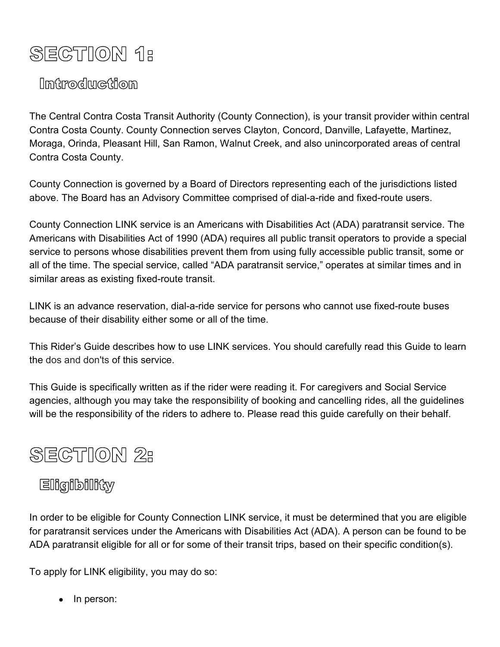# **SECTION 1:**

# Introduction

The Central Contra Costa Transit Authority (County Connection), is your transit provider within central Contra Costa County. County Connection serves Clayton, Concord, Danville, Lafayette, Martinez, Moraga, Orinda, Pleasant Hill, San Ramon, Walnut Creek, and also unincorporated areas of central Contra Costa County.

County Connection is governed by a Board of Directors representing each of the jurisdictions listed above. The Board has an Advisory Committee comprised of dial-a-ride and fixed-route users.

County Connection LINK service is an Americans with Disabilities Act (ADA) paratransit service. The Americans with Disabilities Act of 1990 (ADA) requires all public transit operators to provide a special service to persons whose disabilities prevent them from using fully accessible public transit, some or all of the time. The special service, called "ADA paratransit service," operates at similar times and in similar areas as existing fixed-route transit.

LINK is an advance reservation, dial-a-ride service for persons who cannot use fixed-route buses because of their disability either some or all of the time.

This Rider's Guide describes how to use LINK services. You should carefully read this Guide to learn the dos and don'ts of this service.

This Guide is specifically written as if the rider were reading it. For caregivers and Social Service agencies, although you may take the responsibility of booking and cancelling rides, all the guidelines will be the responsibility of the riders to adhere to. Please read this guide carefully on their behalf.

# **SECTION 2:**

# Eligibility

In order to be eligible for County Connection LINK service, it must be determined that you are eligible for paratransit services under the Americans with Disabilities Act (ADA). A person can be found to be ADA paratransit eligible for all or for some of their transit trips, based on their specific condition(s).

To apply for LINK eligibility, you may do so:

• In person: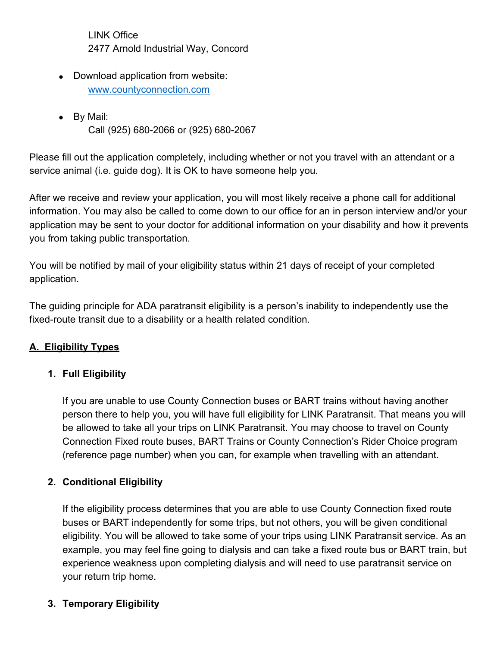LINK Office 2477 Arnold Industrial Way, Concord

- Download application from website: [www.countyconnection.com](http://www.countyconnection.com/)
- By Mail:
	- Call (925) 680-2066 or (925) 680-2067

Please fill out the application completely, including whether or not you travel with an attendant or a service animal (i.e. guide dog). It is OK to have someone help you.

After we receive and review your application, you will most likely receive a phone call for additional information. You may also be called to come down to our office for an in person interview and/or your application may be sent to your doctor for additional information on your disability and how it prevents you from taking public transportation.

You will be notified by mail of your eligibility status within 21 days of receipt of your completed application.

The guiding principle for ADA paratransit eligibility is a person's inability to independently use the fixed-route transit due to a disability or a health related condition.

## **A. Eligibility Types**

## **1. Full Eligibility**

If you are unable to use County Connection buses or BART trains without having another person there to help you, you will have full eligibility for LINK Paratransit. That means you will be allowed to take all your trips on LINK Paratransit. You may choose to travel on County Connection Fixed route buses, BART Trains or County Connection's Rider Choice program (reference page number) when you can, for example when travelling with an attendant.

### **2. Conditional Eligibility**

If the eligibility process determines that you are able to use County Connection fixed route buses or BART independently for some trips, but not others, you will be given conditional eligibility. You will be allowed to take some of your trips using LINK Paratransit service. As an example, you may feel fine going to dialysis and can take a fixed route bus or BART train, but experience weakness upon completing dialysis and will need to use paratransit service on your return trip home.

### **3. Temporary Eligibility**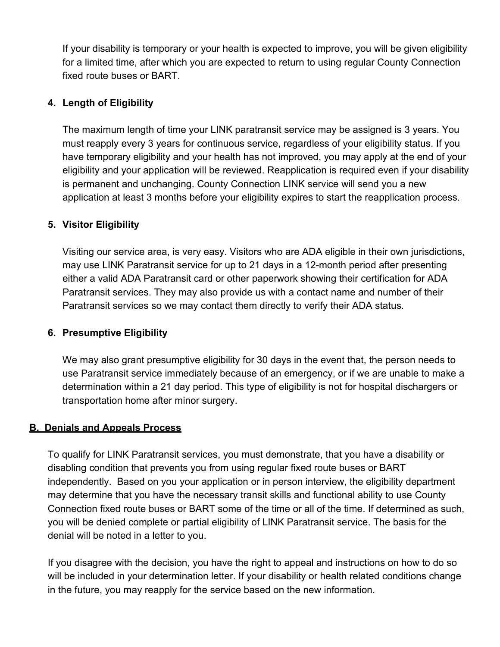If your disability is temporary or your health is expected to improve, you will be given eligibility for a limited time, after which you are expected to return to using regular County Connection fixed route buses or BART.

#### **4. Length of Eligibility**

The maximum length of time your LINK paratransit service may be assigned is 3 years. You must reapply every 3 years for continuous service, regardless of your eligibility status. If you have temporary eligibility and your health has not improved, you may apply at the end of your eligibility and your application will be reviewed. Reapplication is required even if your disability is permanent and unchanging. County Connection LINK service will send you a new application at least 3 months before your eligibility expires to start the reapplication process.

#### **5. Visitor Eligibility**

Visiting our service area, is very easy. Visitors who are ADA eligible in their own jurisdictions, may use LINK Paratransit service for up to 21 days in a 12-month period after presenting either a valid ADA Paratransit card or other paperwork showing their certification for ADA Paratransit services. They may also provide us with a contact name and number of their Paratransit services so we may contact them directly to verify their ADA status.

#### **6. Presumptive Eligibility**

We may also grant presumptive eligibility for 30 days in the event that, the person needs to use Paratransit service immediately because of an emergency, or if we are unable to make a determination within a 21 day period. This type of eligibility is not for hospital dischargers or transportation home after minor surgery.

#### **B. Denials and Appeals Process**

To qualify for LINK Paratransit services, you must demonstrate, that you have a disability or disabling condition that prevents you from using regular fixed route buses or BART independently. Based on you your application or in person interview, the eligibility department may determine that you have the necessary transit skills and functional ability to use County Connection fixed route buses or BART some of the time or all of the time. If determined as such, you will be denied complete or partial eligibility of LINK Paratransit service. The basis for the denial will be noted in a letter to you.

If you disagree with the decision, you have the right to appeal and instructions on how to do so will be included in your determination letter. If your disability or health related conditions change in the future, you may reapply for the service based on the new information.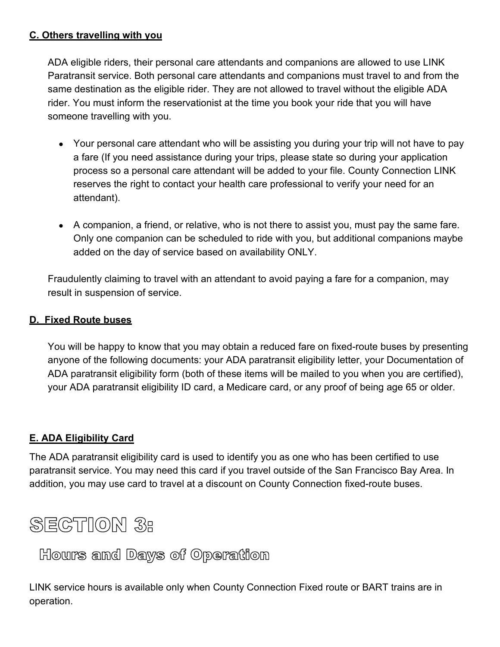#### **C. Others travelling with you**

ADA eligible riders, their personal care attendants and companions are allowed to use LINK Paratransit service. Both personal care attendants and companions must travel to and from the same destination as the eligible rider. They are not allowed to travel without the eligible ADA rider. You must inform the reservationist at the time you book your ride that you will have someone travelling with you.

- Your personal care attendant who will be assisting you during your trip will not have to pay a fare (If you need assistance during your trips, please state so during your application process so a personal care attendant will be added to your file. County Connection LINK reserves the right to contact your health care professional to verify your need for an attendant).
- A companion, a friend, or relative, who is not there to assist you, must pay the same fare. Only one companion can be scheduled to ride with you, but additional companions maybe added on the day of service based on availability ONLY.

Fraudulently claiming to travel with an attendant to avoid paying a fare for a companion, may result in suspension of service.

### **D. Fixed Route buses**

You will be happy to know that you may obtain a reduced fare on fixed-route buses by presenting anyone of the following documents: your ADA paratransit eligibility letter, your Documentation of ADA paratransit eligibility form (both of these items will be mailed to you when you are certified), your ADA paratransit eligibility ID card, a Medicare card, or any proof of being age 65 or older.

#### **E. ADA Eligibility Card**

The ADA paratransit eligibility card is used to identify you as one who has been certified to use paratransit service. You may need this card if you travel outside of the San Francisco Bay Area. In addition, you may use card to travel at a discount on County Connection fixed-route buses.

# **SECTION 3:**

Hours and Days of Operation

LINK service hours is available only when County Connection Fixed route or BART trains are in operation.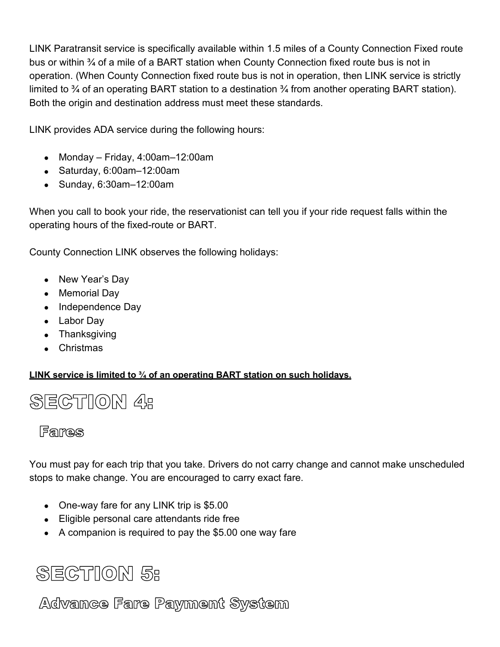LINK Paratransit service is specifically available within 1.5 miles of a County Connection Fixed route bus or within ¾ of a mile of a BART station when County Connection fixed route bus is not in operation. (When County Connection fixed route bus is not in operation, then LINK service is strictly limited to  $\frac{3}{4}$  of an operating BART station to a destination  $\frac{3}{4}$  from another operating BART station). Both the origin and destination address must meet these standards.

LINK provides ADA service during the following hours:

- Monday Friday, 4:00am–12:00am
- Saturday, 6:00am–12:00am
- Sunday, 6:30am–12:00am

When you call to book your ride, the reservationist can tell you if your ride request falls within the operating hours of the fixed-route or BART.

County Connection LINK observes the following holidays:

- New Year's Day
- Memorial Day
- Independence Day
- Labor Day
- Thanksgiving
- Christmas

**LINK service is limited to ¾ of an operating BART station on such holidays.**

# **SECTION 4:**

## Farnes

You must pay for each trip that you take. Drivers do not carry change and cannot make unscheduled stops to make change. You are encouraged to carry exact fare.

- One-way fare for any LINK trip is \$5.00
- Eligible personal care attendants ride free
- A companion is required to pay the \$5.00 one way fare



Advance Fare Payment System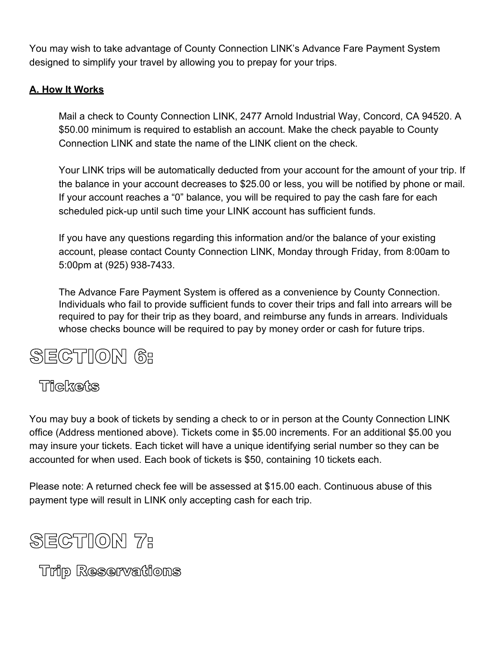You may wish to take advantage of County Connection LINK's Advance Fare Payment System designed to simplify your travel by allowing you to prepay for your trips.

### **A. How It Works**

Mail a check to County Connection LINK, 2477 Arnold Industrial Way, Concord, CA 94520. A \$50.00 minimum is required to establish an account. Make the check payable to County Connection LINK and state the name of the LINK client on the check.

Your LINK trips will be automatically deducted from your account for the amount of your trip. If the balance in your account decreases to \$25.00 or less, you will be notified by phone or mail. If your account reaches a "0" balance, you will be required to pay the cash fare for each scheduled pick-up until such time your LINK account has sufficient funds.

If you have any questions regarding this information and/or the balance of your existing account, please contact County Connection LINK, Monday through Friday, from 8:00am to 5:00pm at (925) 938-7433.

The Advance Fare Payment System is offered as a convenience by County Connection. Individuals who fail to provide sufficient funds to cover their trips and fall into arrears will be required to pay for their trip as they board, and reimburse any funds in arrears. Individuals whose checks bounce will be required to pay by money order or cash for future trips.

# **SECTION 6:**

## Thekets

You may buy a book of tickets by sending a check to or in person at the County Connection LINK office (Address mentioned above). Tickets come in \$5.00 increments. For an additional \$5.00 you may insure your tickets. Each ticket will have a unique identifying serial number so they can be accounted for when used. Each book of tickets is \$50, containing 10 tickets each.

Please note: A returned check fee will be assessed at \$15.00 each. Continuous abuse of this payment type will result in LINK only accepting cash for each trip.

# **SECTION 7:**

**Trip Reservations**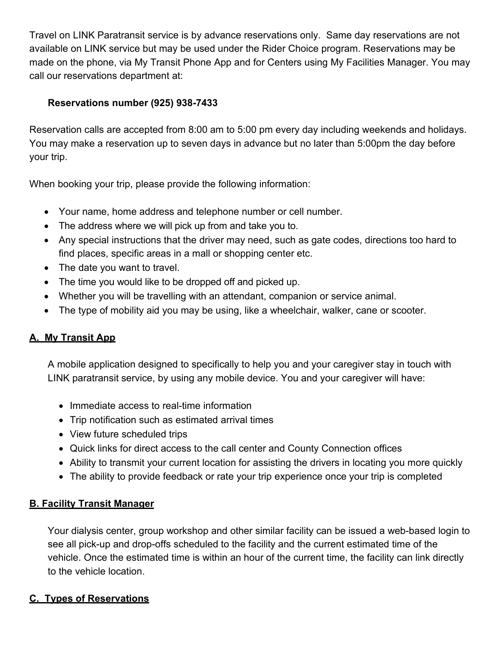Travel on LINK Paratransit service is by advance reservations only. Same day reservations are not available on LINK service but may be used under the Rider Choice program. Reservations may be made on the phone, via My Transit Phone App and for Centers using My Facilities Manager. You may call our reservations department at:

### **Reservations number (925) 938-7433**

Reservation calls are accepted from 8:00 am to 5:00 pm every day including weekends and holidays. You may make a reservation up to seven days in advance but no later than 5:00pm the day before your trip.

When booking your trip, please provide the following information:

- Your name, home address and telephone number or cell number.
- The address where we will pick up from and take you to.
- Any special instructions that the driver may need, such as gate codes, directions too hard to find places, specific areas in a mall or shopping center etc.
- The date you want to travel.
- The time you would like to be dropped off and picked up.
- Whether you will be travelling with an attendant, companion or service animal.
- The type of mobility aid you may be using, like a wheelchair, walker, cane or scooter.

## **A. My Transit App**

A mobile application designed to specifically to help you and your caregiver stay in touch with LINK paratransit service, by using any mobile device. You and your caregiver will have:

- Immediate access to real-time information
- Trip notification such as estimated arrival times
- View future scheduled trips
- Quick links for direct access to the call center and County Connection offices
- Ability to transmit your current location for assisting the drivers in locating you more quickly
- The ability to provide feedback or rate your trip experience once your trip is completed

### **B. Facility Transit Manager**

Your dialysis center, group workshop and other similar facility can be issued a web-based login to see all pick-up and drop-offs scheduled to the facility and the current estimated time of the vehicle. Once the estimated time is within an hour of the current time, the facility can link directly to the vehicle location.

## **C. Types of Reservations**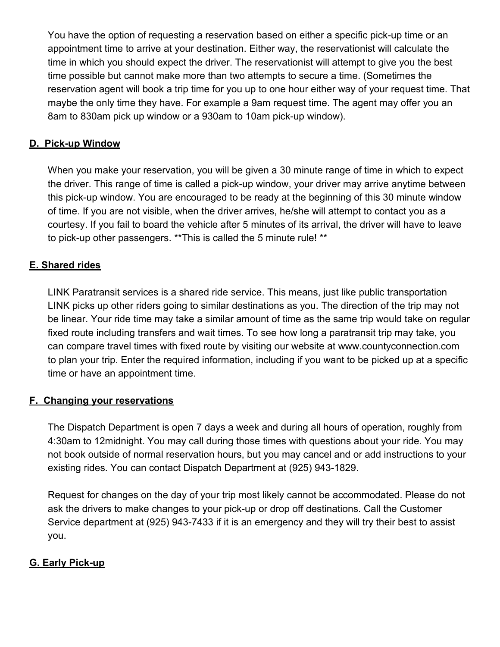You have the option of requesting a reservation based on either a specific pick-up time or an appointment time to arrive at your destination. Either way, the reservationist will calculate the time in which you should expect the driver. The reservationist will attempt to give you the best time possible but cannot make more than two attempts to secure a time. (Sometimes the reservation agent will book a trip time for you up to one hour either way of your request time. That maybe the only time they have. For example a 9am request time. The agent may offer you an 8am to 830am pick up window or a 930am to 10am pick-up window).

#### **D. Pick-up Window**

When you make your reservation, you will be given a 30 minute range of time in which to expect the driver. This range of time is called a pick-up window, your driver may arrive anytime between this pick-up window. You are encouraged to be ready at the beginning of this 30 minute window of time. If you are not visible, when the driver arrives, he/she will attempt to contact you as a courtesy. If you fail to board the vehicle after 5 minutes of its arrival, the driver will have to leave to pick-up other passengers. \*\*This is called the 5 minute rule! \*\*

#### **E. Shared rides**

LINK Paratransit services is a shared ride service. This means, just like public transportation LINK picks up other riders going to similar destinations as you. The direction of the trip may not be linear. Your ride time may take a similar amount of time as the same trip would take on regular fixed route including transfers and wait times. To see how long a paratransit trip may take, you can compare travel times with fixed route by visiting our website at www.countyconnection.com to plan your trip. Enter the required information, including if you want to be picked up at a specific time or have an appointment time.

#### **F. Changing your reservations**

The Dispatch Department is open 7 days a week and during all hours of operation, roughly from 4:30am to 12midnight. You may call during those times with questions about your ride. You may not book outside of normal reservation hours, but you may cancel and or add instructions to your existing rides. You can contact Dispatch Department at (925) 943-1829.

Request for changes on the day of your trip most likely cannot be accommodated. Please do not ask the drivers to make changes to your pick-up or drop off destinations. Call the Customer Service department at (925) 943-7433 if it is an emergency and they will try their best to assist you.

#### **G. Early Pick-up**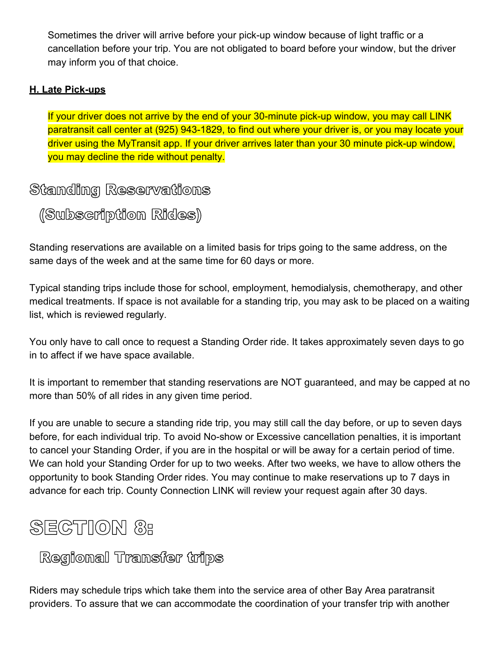Sometimes the driver will arrive before your pick-up window because of light traffic or a cancellation before your trip. You are not obligated to board before your window, but the driver may inform you of that choice.

### **H. Late Pick-ups**

If your driver does not arrive by the end of your 30-minute pick-up window, you may call LINK paratransit call center at (925) 943-1829, to find out where your driver is, or you may locate your driver using the MyTransit app. If your driver arrives later than your 30 minute pick-up window, you may decline the ride without penalty.

## Standing Reservations

(Subscription Rides)

Standing reservations are available on a limited basis for trips going to the same address, on the same days of the week and at the same time for 60 days or more.

Typical standing trips include those for school, employment, hemodialysis, chemotherapy, and other medical treatments. If space is not available for a standing trip, you may ask to be placed on a waiting list, which is reviewed regularly.

You only have to call once to request a Standing Order ride. It takes approximately seven days to go in to affect if we have space available.

It is important to remember that standing reservations are NOT guaranteed, and may be capped at no more than 50% of all rides in any given time period.

If you are unable to secure a standing ride trip, you may still call the day before, or up to seven days before, for each individual trip. To avoid No-show or Excessive cancellation penalties, it is important to cancel your Standing Order, if you are in the hospital or will be away for a certain period of time. We can hold your Standing Order for up to two weeks. After two weeks, we have to allow others the opportunity to book Standing Order rides. You may continue to make reservations up to 7 days in advance for each trip. County Connection LINK will review your request again after 30 days.

# **SECTION 8:**

Regional Transfer trips

Riders may schedule trips which take them into the service area of other Bay Area paratransit providers. To assure that we can accommodate the coordination of your transfer trip with another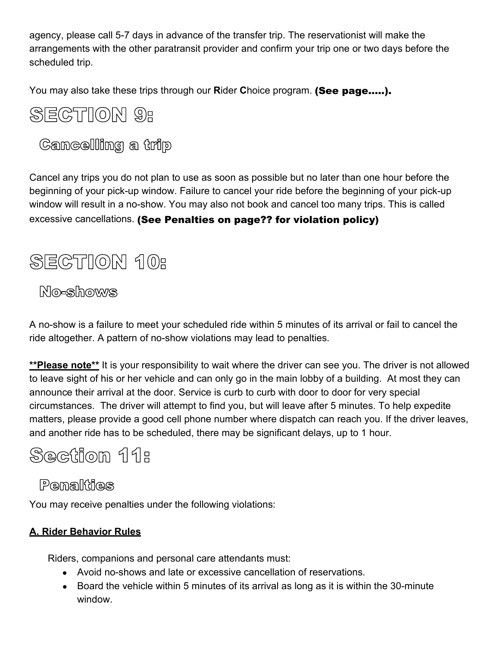agency, please call 5-7 days in advance of the transfer trip. The reservationist will make the arrangements with the other paratransit provider and confirm your trip one or two days before the scheduled trip.

You may also take these trips through our **Rider Choice program. (See page.....).** 

# **SECTION 9:**

**Cancelling** a trip

Cancel any trips you do not plan to use as soon as possible but no later than one hour before the beginning of your pick-up window. Failure to cancel your ride before the beginning of your pick-up window will result in a no-show. You may also not book and cancel too many trips. This is called excessive cancellations. (See Penalties on page?? for violation policy)

# **SECTION 10:**

## **No-shows**

A no-show is a failure to meet your scheduled ride within 5 minutes of its arrival or fail to cancel the ride altogether. A pattern of no-show violations may lead to penalties.

**\*\*Please note\*\*** It is your responsibility to wait where the driver can see you. The driver is not allowed to leave sight of his or her vehicle and can only go in the main lobby of a building. At most they can announce their arrival at the door. Service is curb to curb with door to door for very special circumstances. The driver will attempt to find you, but will leave after 5 minutes. To help expedite matters, please provide a good cell phone number where dispatch can reach you. If the driver leaves, and another ride has to be scheduled, there may be significant delays, up to 1 hour.

# Section 11:

## Pemalities

You may receive penalties under the following violations:

## **A. Rider Behavior Rules**

Riders, companions and personal care attendants must:

- Avoid no-shows and late or excessive cancellation of reservations.
- Board the vehicle within 5 minutes of its arrival as long as it is within the 30-minute window.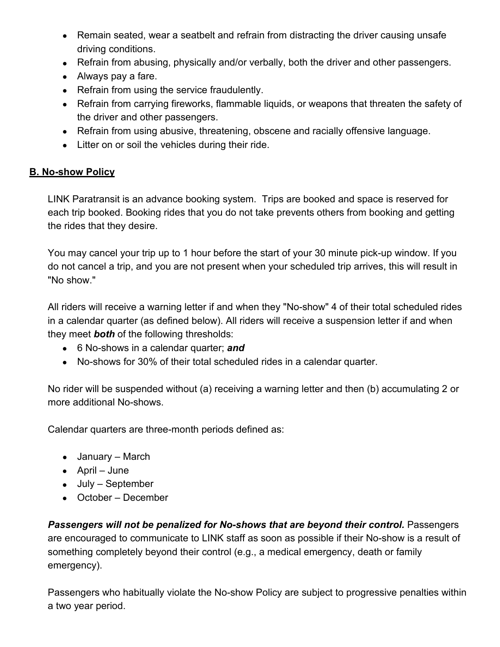- Remain seated, wear a seatbelt and refrain from distracting the driver causing unsafe driving conditions.
- Refrain from abusing, physically and/or verbally, both the driver and other passengers.
- Always pay a fare.
- Refrain from using the service fraudulently.
- Refrain from carrying fireworks, flammable liquids, or weapons that threaten the safety of the driver and other passengers.
- Refrain from using abusive, threatening, obscene and racially offensive language.
- Litter on or soil the vehicles during their ride.

### **B. No-show Policy**

LINK Paratransit is an advance booking system. Trips are booked and space is reserved for each trip booked. Booking rides that you do not take prevents others from booking and getting the rides that they desire.

You may cancel your trip up to 1 hour before the start of your 30 minute pick-up window. If you do not cancel a trip, and you are not present when your scheduled trip arrives, this will result in "No show."

All riders will receive a warning letter if and when they "No-show" 4 of their total scheduled rides in a calendar quarter (as defined below). All riders will receive a suspension letter if and when they meet *both* of the following thresholds:

- 6 No-shows in a calendar quarter; *and*
- No-shows for 30% of their total scheduled rides in a calendar quarter.

No rider will be suspended without (a) receiving a warning letter and then (b) accumulating 2 or more additional No-shows.

Calendar quarters are three-month periods defined as:

- January March
- April June
- July September
- October December

*Passengers will not be penalized for No-shows that are beyond their control.* Passengers are encouraged to communicate to LINK staff as soon as possible if their No-show is a result of something completely beyond their control (e.g., a medical emergency, death or family emergency).

Passengers who habitually violate the No-show Policy are subject to progressive penalties within a two year period.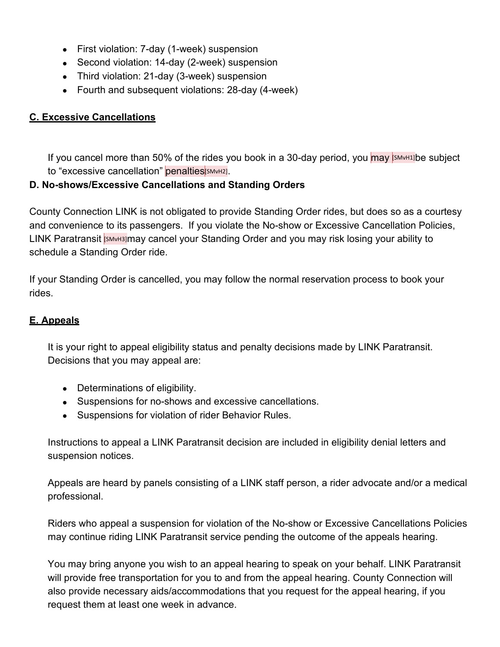- First violation: 7-day (1-week) suspension
- Second violation: 14-day (2-week) suspension
- Third violation: 21-day (3-week) suspension
- Fourth and subsequent violations: 28-day (4-week)

### **C. Excessive Cancellations**

If you cancel more than 50% of the rides you book in a 30-day period, you  $\frac{1}{2}$  [SMvH1]be subject to "excessive cancellation" penalties[SMvH2].

### **D. No-shows/Excessive Cancellations and Standing Orders**

County Connection LINK is not obligated to provide Standing Order rides, but does so as a courtesy and convenience to its passengers. If you violate the No-show or Excessive Cancellation Policies, LINK Paratransit **[SMVH3]may cancel your Standing Order and you may risk losing your ability to** schedule a Standing Order ride.

If your Standing Order is cancelled, you may follow the normal reservation process to book your rides.

### **E. Appeals**

It is your right to appeal eligibility status and penalty decisions made by LINK Paratransit. Decisions that you may appeal are:

- Determinations of eligibility.
- Suspensions for no-shows and excessive cancellations.
- Suspensions for violation of rider Behavior Rules.

Instructions to appeal a LINK Paratransit decision are included in eligibility denial letters and suspension notices.

Appeals are heard by panels consisting of a LINK staff person, a rider advocate and/or a medical professional.

Riders who appeal a suspension for violation of the No-show or Excessive Cancellations Policies may continue riding LINK Paratransit service pending the outcome of the appeals hearing.

You may bring anyone you wish to an appeal hearing to speak on your behalf. LINK Paratransit will provide free transportation for you to and from the appeal hearing. County Connection will also provide necessary aids/accommodations that you request for the appeal hearing, if you request them at least one week in advance.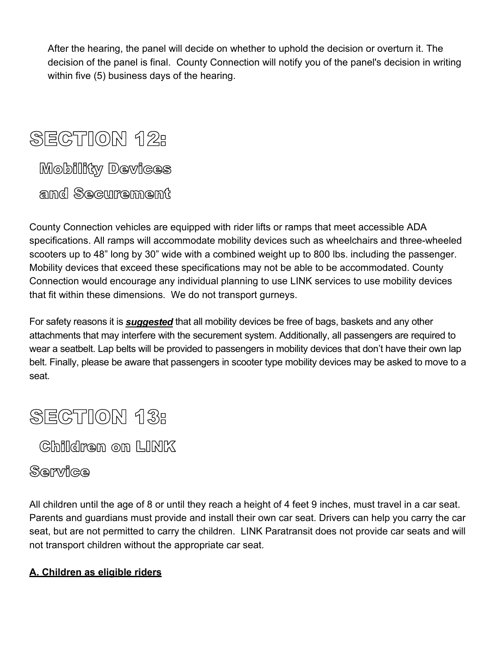After the hearing, the panel will decide on whether to uphold the decision or overturn it. The decision of the panel is final. County Connection will notify you of the panel's decision in writing within five (5) business days of the hearing.

# **SECTION 12:** Mobility Devices

amd Securement

County Connection vehicles are equipped with rider lifts or ramps that meet accessible ADA specifications. All ramps will accommodate mobility devices such as wheelchairs and three-wheeled scooters up to 48" long by 30" wide with a combined weight up to 800 lbs. including the passenger. Mobility devices that exceed these specifications may not be able to be accommodated. County Connection would encourage any individual planning to use LINK services to use mobility devices that fit within these dimensions. We do not transport gurneys.

For safety reasons it is *suggested* that all mobility devices be free of bags, baskets and any other attachments that may interfere with the securement system. Additionally, all passengers are required to wear a seatbelt. Lap belts will be provided to passengers in mobility devices that don't have their own lap belt. Finally, please be aware that passengers in scooter type mobility devices may be asked to move to a seat.

# **SECTION 13:**

Children on LINK

## Service

All children until the age of 8 or until they reach a height of 4 feet 9 inches, must travel in a car seat. Parents and guardians must provide and install their own car seat. Drivers can help you carry the car seat, but are not permitted to carry the children. LINK Paratransit does not provide car seats and will not transport children without the appropriate car seat.

## **A. Children as eligible riders**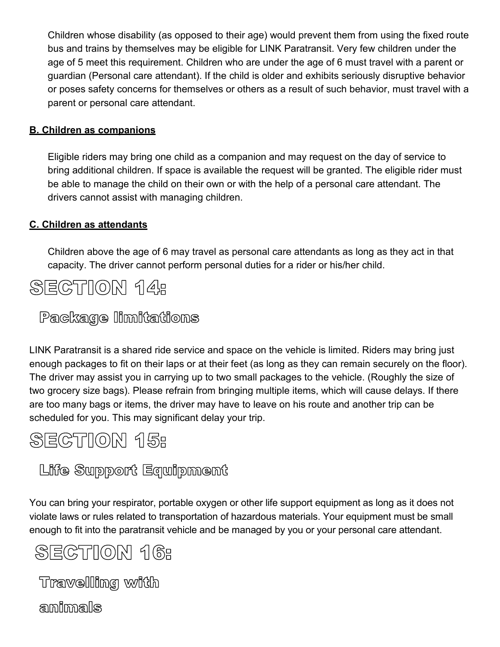Children whose disability (as opposed to their age) would prevent them from using the fixed route bus and trains by themselves may be eligible for LINK Paratransit. Very few children under the age of 5 meet this requirement. Children who are under the age of 6 must travel with a parent or guardian (Personal care attendant). If the child is older and exhibits seriously disruptive behavior or poses safety concerns for themselves or others as a result of such behavior, must travel with a parent or personal care attendant.

### **B. Children as companions**

Eligible riders may bring one child as a companion and may request on the day of service to bring additional children. If space is available the request will be granted. The eligible rider must be able to manage the child on their own or with the help of a personal care attendant. The drivers cannot assist with managing children.

### **C. Children as attendants**

Children above the age of 6 may travel as personal care attendants as long as they act in that capacity. The driver cannot perform personal duties for a rider or his/her child.



## Package limitations

LINK Paratransit is a shared ride service and space on the vehicle is limited. Riders may bring just enough packages to fit on their laps or at their feet (as long as they can remain securely on the floor). The driver may assist you in carrying up to two small packages to the vehicle. (Roughly the size of two grocery size bags). Please refrain from bringing multiple items, which will cause delays. If there are too many bags or items, the driver may have to leave on his route and another trip can be scheduled for you. This may significant delay your trip.



# Life Support Equipment

You can bring your respirator, portable oxygen or other life support equipment as long as it does not violate laws or rules related to transportation of hazardous materials. Your equipment must be small enough to fit into the paratransit vehicle and be managed by you or your personal care attendant.

# **SECTION 16:**

Travelling with

amilmals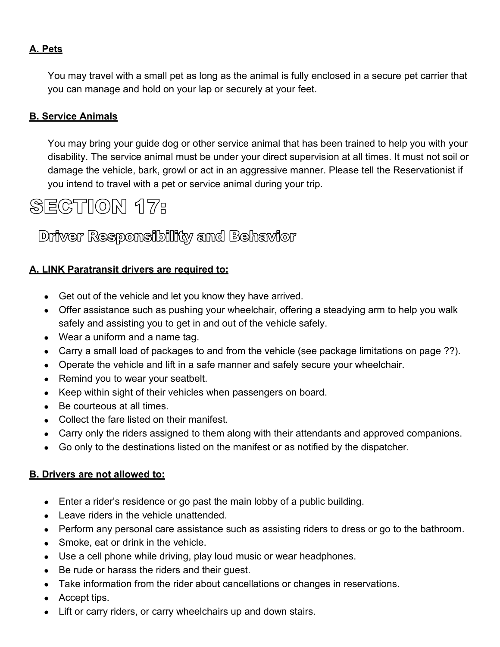### **A. Pets**

You may travel with a small pet as long as the animal is fully enclosed in a secure pet carrier that you can manage and hold on your lap or securely at your feet.

### **B. Service Animals**

You may bring your guide dog or other service animal that has been trained to help you with your disability. The service animal must be under your direct supervision at all times. It must not soil or damage the vehicle, bark, growl or act in an aggressive manner. Please tell the Reservationist if you intend to travel with a pet or service animal during your trip.

# **SECTION 17:**

## Driver Responsibility and Behavior

#### **A. LINK Paratransit drivers are required to:**

- Get out of the vehicle and let you know they have arrived.
- Offer assistance such as pushing your wheelchair, offering a steadying arm to help you walk safely and assisting you to get in and out of the vehicle safely.
- Wear a uniform and a name tag.
- Carry a small load of packages to and from the vehicle (see package limitations on page ??).
- Operate the vehicle and lift in a safe manner and safely secure your wheelchair.
- Remind you to wear your seatbelt.
- Keep within sight of their vehicles when passengers on board.
- Be courteous at all times.
- Collect the fare listed on their manifest.
- Carry only the riders assigned to them along with their attendants and approved companions.
- Go only to the destinations listed on the manifest or as notified by the dispatcher.

#### **B. Drivers are not allowed to:**

- Enter a rider's residence or go past the main lobby of a public building.
- Leave riders in the vehicle unattended.
- Perform any personal care assistance such as assisting riders to dress or go to the bathroom.
- Smoke, eat or drink in the vehicle.
- Use a cell phone while driving, play loud music or wear headphones.
- Be rude or harass the riders and their guest.
- Take information from the rider about cancellations or changes in reservations.
- Accept tips.
- Lift or carry riders, or carry wheelchairs up and down stairs.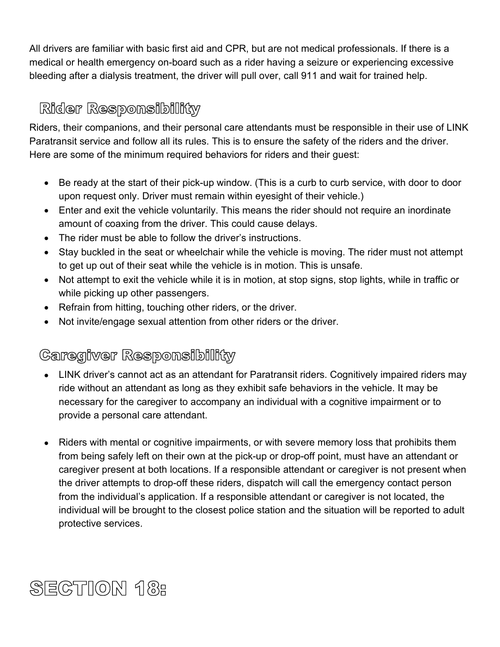All drivers are familiar with basic first aid and CPR, but are not medical professionals. If there is a medical or health emergency on-board such as a rider having a seizure or experiencing excessive bleeding after a dialysis treatment, the driver will pull over, call 911 and wait for trained help.

## Rider Responsibility

Riders, their companions, and their personal care attendants must be responsible in their use of LINK Paratransit service and follow all its rules. This is to ensure the safety of the riders and the driver. Here are some of the minimum required behaviors for riders and their guest:

- Be ready at the start of their pick-up window. (This is a curb to curb service, with door to door upon request only. Driver must remain within eyesight of their vehicle.)
- Enter and exit the vehicle voluntarily. This means the rider should not require an inordinate amount of coaxing from the driver. This could cause delays.
- The rider must be able to follow the driver's instructions.
- Stay buckled in the seat or wheelchair while the vehicle is moving. The rider must not attempt to get up out of their seat while the vehicle is in motion. This is unsafe.
- Not attempt to exit the vehicle while it is in motion, at stop signs, stop lights, while in traffic or while picking up other passengers.
- Refrain from hitting, touching other riders, or the driver.
- Not invite/engage sexual attention from other riders or the driver.

# Caregiver Responsibility

- LINK driver's cannot act as an attendant for Paratransit riders. Cognitively impaired riders may ride without an attendant as long as they exhibit safe behaviors in the vehicle. It may be necessary for the caregiver to accompany an individual with a cognitive impairment or to provide a personal care attendant.
- Riders with mental or cognitive impairments, or with severe memory loss that prohibits them from being safely left on their own at the pick-up or drop-off point, must have an attendant or caregiver present at both locations. If a responsible attendant or caregiver is not present when the driver attempts to drop-off these riders, dispatch will call the emergency contact person from the individual's application. If a responsible attendant or caregiver is not located, the individual will be brought to the closest police station and the situation will be reported to adult protective services.

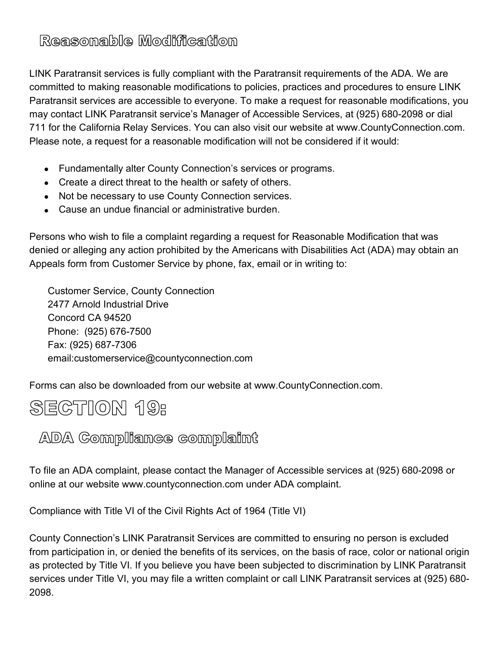# Reasonable Modification

LINK Paratransit services is fully compliant with the Paratransit requirements of the ADA. We are committed to making reasonable modifications to policies, practices and procedures to ensure LINK Paratransit services are accessible to everyone. To make a request for reasonable modifications, you may contact LINK Paratransit service's Manager of Accessible Services, at (925) 680-2098 or dial 711 for the California Relay Services. You can also visit our website at www.CountyConnection.com. Please note, a request for a reasonable modification will not be considered if it would:

- Fundamentally alter County Connection's services or programs.
- Create a direct threat to the health or safety of others.
- Not be necessary to use County Connection services.
- Cause an undue financial or administrative burden.

Persons who wish to file a complaint regarding a request for Reasonable Modification that was denied or alleging any action prohibited by the Americans with Disabilities Act (ADA) may obtain an Appeals form from Customer Service by phone, fax, email or in writing to:

Customer Service, County Connection 2477 Arnold Industrial Drive Concord CA 94520 Phone: (925) 676-7500 Fax: (925) 687-7306 email:customerservice@countyconnection.com

Forms can also be downloaded from our website at www.CountyConnection.com.





To file an ADA complaint, please contact the Manager of Accessible services at (925) 680-2098 or online at our website www.countyconnection.com under ADA complaint.

Compliance with Title VI of the Civil Rights Act of 1964 (Title VI)

County Connection's LINK Paratransit Services are committed to ensuring no person is excluded from participation in, or denied the benefits of its services, on the basis of race, color or national origin as protected by Title VI. If you believe you have been subjected to discrimination by LINK Paratransit services under Title VI, you may file a written complaint or call LINK Paratransit services at (925) 680- 2098.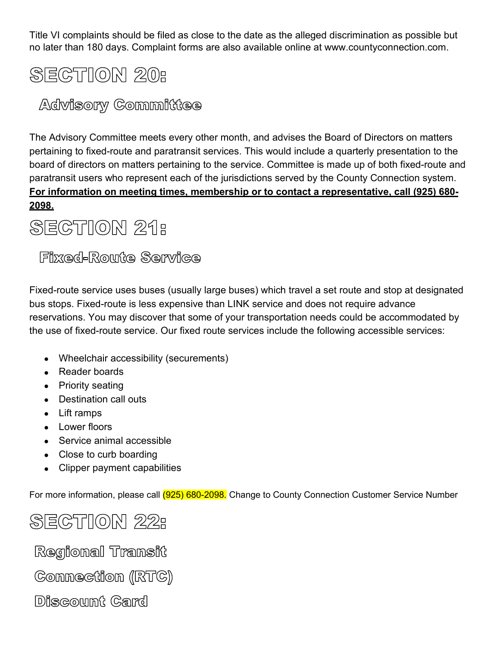Title VI complaints should be filed as close to the date as the alleged discrimination as possible but no later than 180 days. Complaint forms are also available online at www.countyconnection.com.

# **SECTION 20:**

# Advisory Committee

The Advisory Committee meets every other month, and advises the Board of Directors on matters pertaining to fixed-route and paratransit services. This would include a quarterly presentation to the board of directors on matters pertaining to the service. Committee is made up of both fixed-route and paratransit users who represent each of the jurisdictions served by the County Connection system. **For information on meeting times, membership or to contact a representative, call (925) 680- 2098.**

# **SECTION 21:**

## **Fizzed-Route Service**

Fixed-route service uses buses (usually large buses) which travel a set route and stop at designated bus stops. Fixed-route is less expensive than LINK service and does not require advance reservations. You may discover that some of your transportation needs could be accommodated by the use of fixed-route service. Our fixed route services include the following accessible services:

- Wheelchair accessibility (securements)
- Reader boards
- Priority seating
- Destination call outs
- Lift ramps
- Lower floors
- Service animal accessible
- Close to curb boarding
- Clipper payment capabilities

For more information, please call (925) 680-2098. Change to County Connection Customer Service Number

# **SECTION 22:**

Regional Transit

Connection (RTC)

Discount Card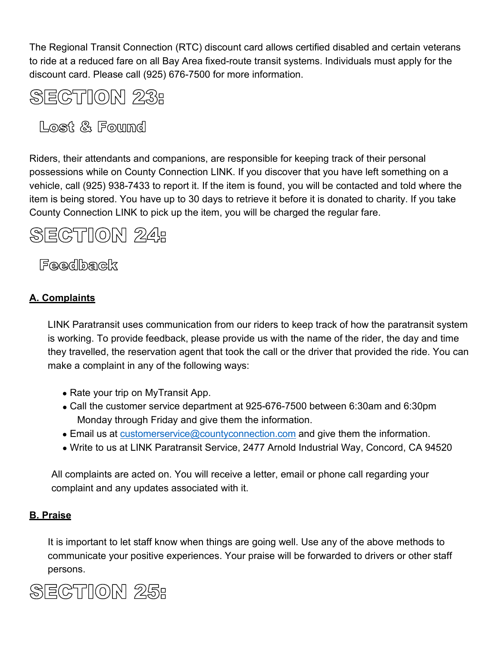The Regional Transit Connection (RTC) discount card allows certified disabled and certain veterans to ride at a reduced fare on all Bay Area fixed-route transit systems. Individuals must apply for the discount card. Please call (925) 676-7500 for more information.



Lost & Found

Riders, their attendants and companions, are responsible for keeping track of their personal possessions while on County Connection LINK. If you discover that you have left something on a vehicle, call (925) 938-7433 to report it. If the item is found, you will be contacted and told where the item is being stored. You have up to 30 days to retrieve it before it is donated to charity. If you take County Connection LINK to pick up the item, you will be charged the regular fare.

# **SECTION 24:**

Feedback

### **A. Complaints**

LINK Paratransit uses communication from our riders to keep track of how the paratransit system is working. To provide feedback, please provide us with the name of the rider, the day and time they travelled, the reservation agent that took the call or the driver that provided the ride. You can make a complaint in any of the following ways:

- Rate your trip on MyTransit App.
- Call the customer service department at 925-676-7500 between 6:30am and 6:30pm Monday through Friday and give them the information.
- Email us at [customerservice@countyconnection.com](mailto:customerservice@countyconnection.com) and give them the information.
- Write to us at LINK Paratransit Service, 2477 Arnold Industrial Way, Concord, CA 94520

All complaints are acted on. You will receive a letter, email or phone call regarding your complaint and any updates associated with it.

#### **B. Praise**

It is important to let staff know when things are going well. Use any of the above methods to communicate your positive experiences. Your praise will be forwarded to drivers or other staff persons.